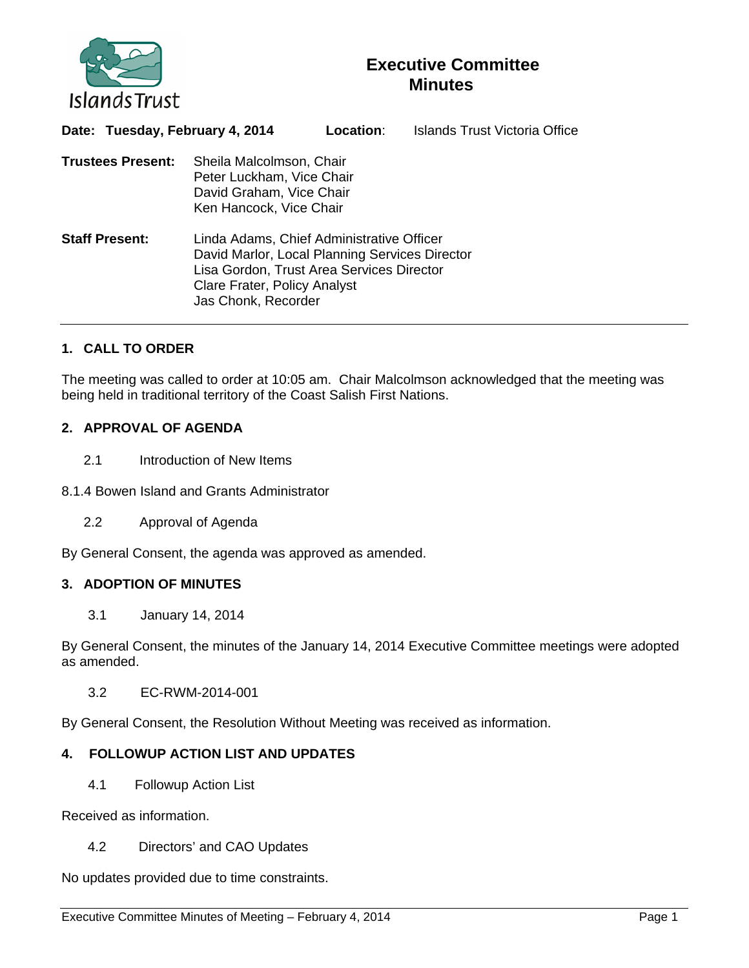

# **Executive Committee Minutes**

| Date: Tuesday, February 4, 2014 |                                                                                                                                                                                                 | Location: | <b>Islands Trust Victoria Office</b> |
|---------------------------------|-------------------------------------------------------------------------------------------------------------------------------------------------------------------------------------------------|-----------|--------------------------------------|
| <b>Trustees Present:</b>        | Sheila Malcolmson, Chair<br>Peter Luckham, Vice Chair<br>David Graham, Vice Chair<br>Ken Hancock, Vice Chair                                                                                    |           |                                      |
| <b>Staff Present:</b>           | Linda Adams, Chief Administrative Officer<br>David Marlor, Local Planning Services Director<br>Lisa Gordon, Trust Area Services Director<br>Clare Frater, Policy Analyst<br>Jas Chonk, Recorder |           |                                      |

# **1. CALL TO ORDER**

The meeting was called to order at 10:05 am. Chair Malcolmson acknowledged that the meeting was being held in traditional territory of the Coast Salish First Nations.

## **2. APPROVAL OF AGENDA**

- 2.1 Introduction of New Items
- 8.1.4 Bowen Island and Grants Administrator
	- 2.2 Approval of Agenda

By General Consent, the agenda was approved as amended.

## **3. ADOPTION OF MINUTES**

3.1 January 14, 2014

By General Consent, the minutes of the January 14, 2014 Executive Committee meetings were adopted as amended.

3.2 EC-RWM-2014-001

By General Consent, the Resolution Without Meeting was received as information.

# **4. FOLLOWUP ACTION LIST AND UPDATES**

4.1 Followup Action List

Received as information.

4.2 Directors' and CAO Updates

No updates provided due to time constraints.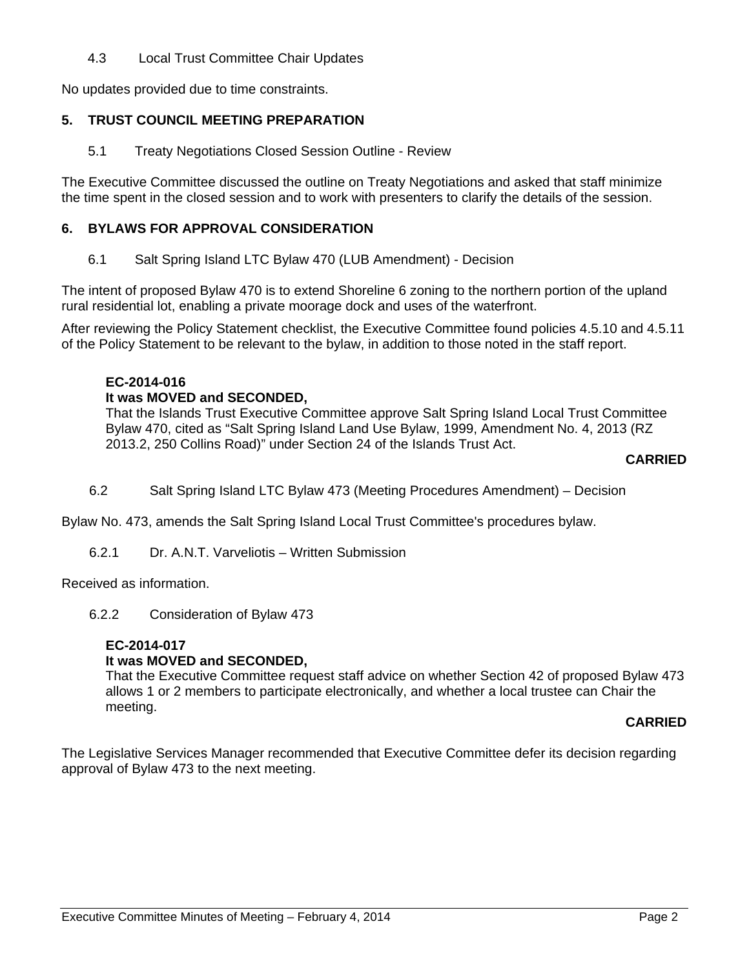## 4.3 Local Trust Committee Chair Updates

No updates provided due to time constraints.

## **5. TRUST COUNCIL MEETING PREPARATION**

5.1 Treaty Negotiations Closed Session Outline - Review

The Executive Committee discussed the outline on Treaty Negotiations and asked that staff minimize the time spent in the closed session and to work with presenters to clarify the details of the session.

## **6. BYLAWS FOR APPROVAL CONSIDERATION**

6.1 Salt Spring Island LTC Bylaw 470 (LUB Amendment) - Decision

The intent of proposed Bylaw 470 is to extend Shoreline 6 zoning to the northern portion of the upland rural residential lot, enabling a private moorage dock and uses of the waterfront.

After reviewing the Policy Statement checklist, the Executive Committee found policies 4.5.10 and 4.5.11 of the Policy Statement to be relevant to the bylaw, in addition to those noted in the staff report.

#### **EC-2014-016**

#### **It was MOVED and SECONDED,**

That the Islands Trust Executive Committee approve Salt Spring Island Local Trust Committee Bylaw 470, cited as "Salt Spring Island Land Use Bylaw, 1999, Amendment No. 4, 2013 (RZ 2013.2, 250 Collins Road)" under Section 24 of the Islands Trust Act.

#### **CARRIED**

6.2 Salt Spring Island LTC Bylaw 473 (Meeting Procedures Amendment) – Decision

Bylaw No. 473, amends the Salt Spring Island Local Trust Committee's procedures bylaw.

6.2.1 Dr. A.N.T. Varveliotis – Written Submission

Received as information.

6.2.2 Consideration of Bylaw 473

# **EC-2014-017**

## **It was MOVED and SECONDED,**

That the Executive Committee request staff advice on whether Section 42 of proposed Bylaw 473 allows 1 or 2 members to participate electronically, and whether a local trustee can Chair the meeting.

#### **CARRIED**

The Legislative Services Manager recommended that Executive Committee defer its decision regarding approval of Bylaw 473 to the next meeting.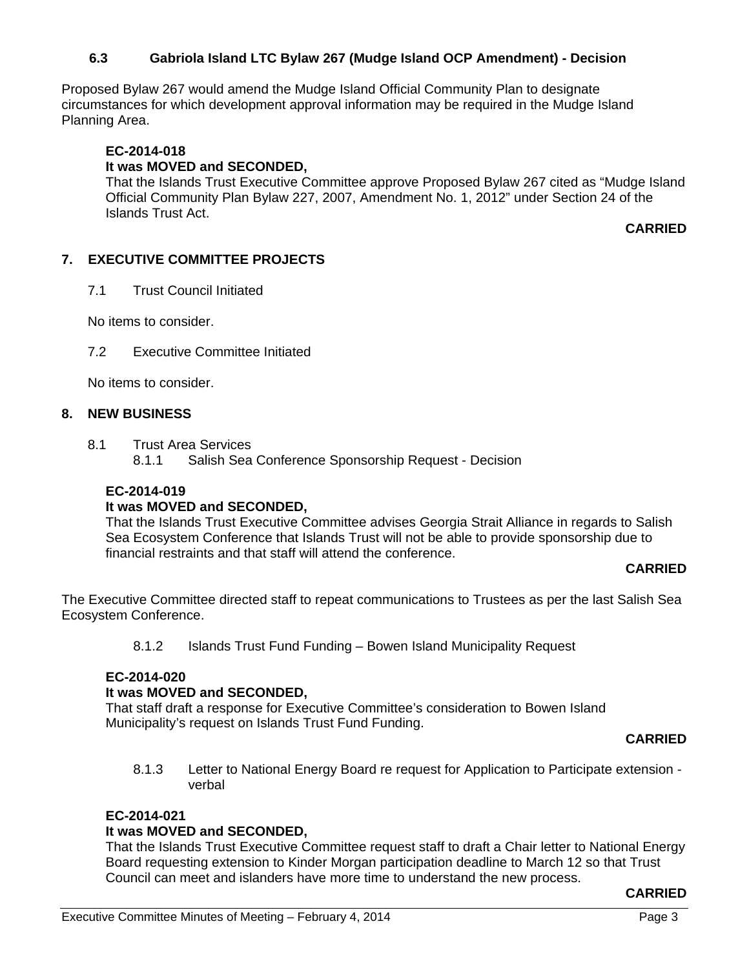## **6.3 Gabriola Island LTC Bylaw 267 (Mudge Island OCP Amendment) - Decision**

Proposed Bylaw 267 would amend the Mudge Island Official Community Plan to designate circumstances for which development approval information may be required in the Mudge Island Planning Area.

## **EC-2014-018**

# **It was MOVED and SECONDED,**

That the Islands Trust Executive Committee approve Proposed Bylaw 267 cited as "Mudge Island Official Community Plan Bylaw 227, 2007, Amendment No. 1, 2012" under Section 24 of the Islands Trust Act.

#### **CARRIED**

# **7. EXECUTIVE COMMITTEE PROJECTS**

7.1 Trust Council Initiated

No items to consider.

7.2 Executive Committee Initiated

No items to consider.

## **8. NEW BUSINESS**

- 8.1 Trust Area Services<br>8.1.1 Salish Sea
	- Salish Sea Conference Sponsorship Request Decision

## **EC-2014-019**

## **It was MOVED and SECONDED,**

That the Islands Trust Executive Committee advises Georgia Strait Alliance in regards to Salish Sea Ecosystem Conference that Islands Trust will not be able to provide sponsorship due to financial restraints and that staff will attend the conference.

#### **CARRIED**

The Executive Committee directed staff to repeat communications to Trustees as per the last Salish Sea Ecosystem Conference.

8.1.2 Islands Trust Fund Funding – Bowen Island Municipality Request

#### **EC-2014-020**

## **It was MOVED and SECONDED,**

That staff draft a response for Executive Committee's consideration to Bowen Island Municipality's request on Islands Trust Fund Funding.

#### **CARRIED**

8.1.3 Letter to National Energy Board re request for Application to Participate extension verbal

#### **EC-2014-021**

## **It was MOVED and SECONDED,**

That the Islands Trust Executive Committee request staff to draft a Chair letter to National Energy Board requesting extension to Kinder Morgan participation deadline to March 12 so that Trust Council can meet and islanders have more time to understand the new process.

#### **CARRIED**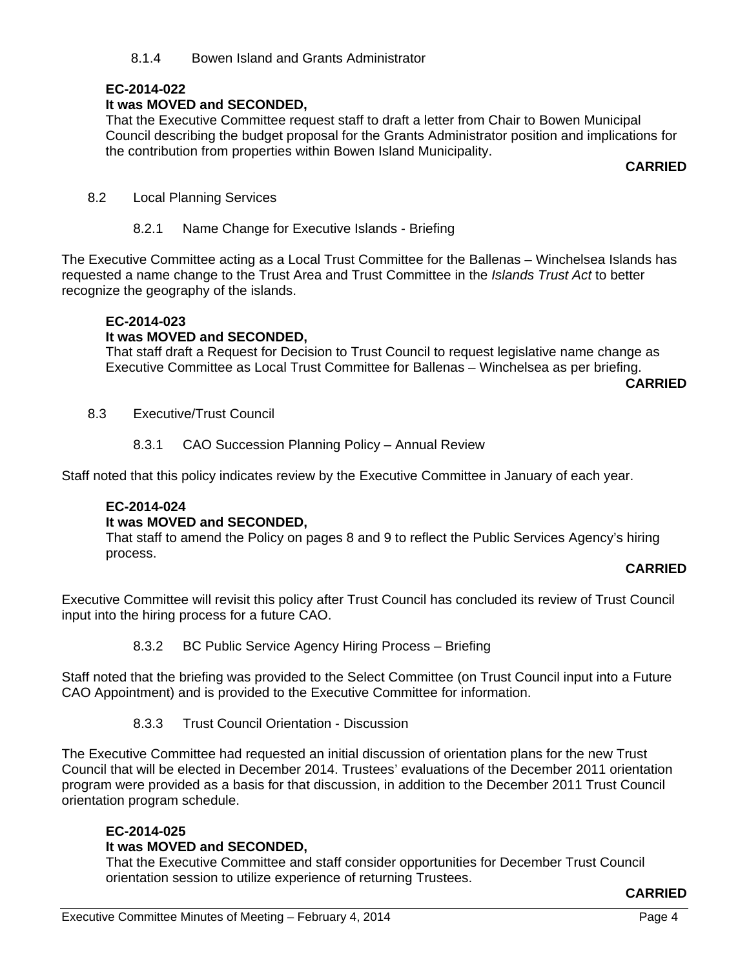#### 8.1.4 Bowen Island and Grants Administrator

#### **EC-2014-022**

#### **It was MOVED and SECONDED,**

That the Executive Committee request staff to draft a letter from Chair to Bowen Municipal Council describing the budget proposal for the Grants Administrator position and implications for the contribution from properties within Bowen Island Municipality.

**CARRIED**

#### 8.2 Local Planning Services

8.2.1 Name Change for Executive Islands - Briefing

The Executive Committee acting as a Local Trust Committee for the Ballenas – Winchelsea Islands has requested a name change to the Trust Area and Trust Committee in the *Islands Trust Act* to better recognize the geography of the islands.

#### **EC-2014-023**

#### **It was MOVED and SECONDED,**

That staff draft a Request for Decision to Trust Council to request legislative name change as Executive Committee as Local Trust Committee for Ballenas – Winchelsea as per briefing.

**CARRIED**

- 8.3 Executive/Trust Council
	- 8.3.1 CAO Succession Planning Policy Annual Review

Staff noted that this policy indicates review by the Executive Committee in January of each year.

# **EC-2014-024**

## **It was MOVED and SECONDED,**

That staff to amend the Policy on pages 8 and 9 to reflect the Public Services Agency's hiring process.

#### **CARRIED**

Executive Committee will revisit this policy after Trust Council has concluded its review of Trust Council input into the hiring process for a future CAO.

8.3.2 BC Public Service Agency Hiring Process – Briefing

Staff noted that the briefing was provided to the Select Committee (on Trust Council input into a Future CAO Appointment) and is provided to the Executive Committee for information.

8.3.3 Trust Council Orientation - Discussion

The Executive Committee had requested an initial discussion of orientation plans for the new Trust Council that will be elected in December 2014. Trustees' evaluations of the December 2011 orientation program were provided as a basis for that discussion, in addition to the December 2011 Trust Council orientation program schedule.

## **EC-2014-025**

## **It was MOVED and SECONDED,**

That the Executive Committee and staff consider opportunities for December Trust Council orientation session to utilize experience of returning Trustees.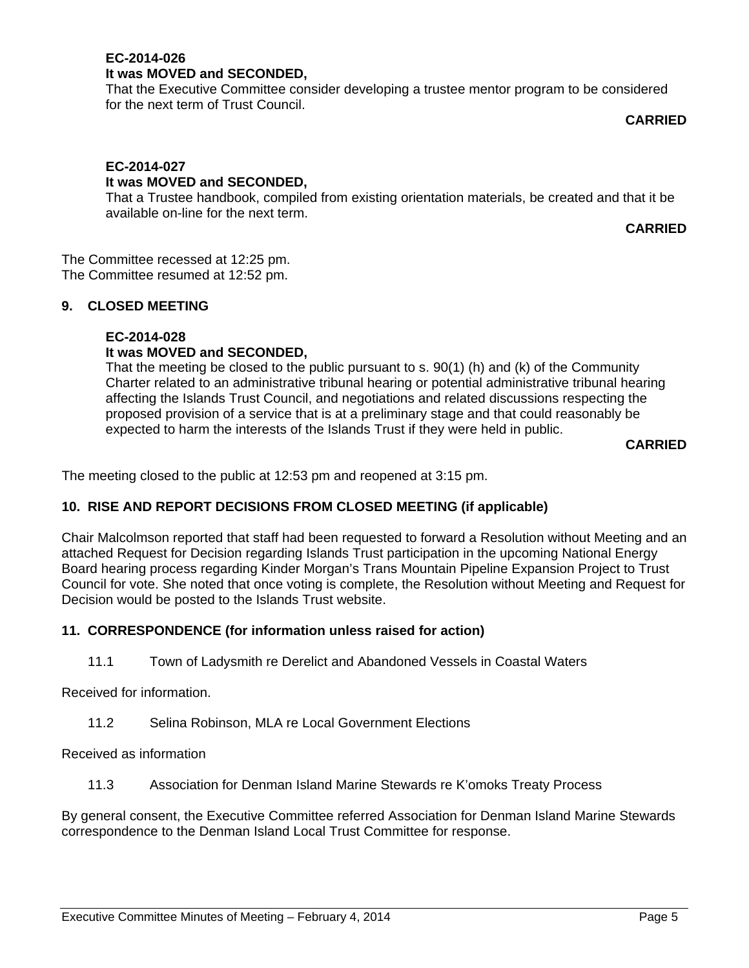#### **EC-2014-026 It was MOVED and SECONDED,**

That the Executive Committee consider developing a trustee mentor program to be considered for the next term of Trust Council.

**CARRIED**

#### **EC-2014-027**

#### **It was MOVED and SECONDED,**

That a Trustee handbook, compiled from existing orientation materials, be created and that it be available on-line for the next term.

**CARRIED**

The Committee recessed at 12:25 pm. The Committee resumed at 12:52 pm.

# **9. CLOSED MEETING**

#### **EC-2014-028**

# **It was MOVED and SECONDED,**

That the meeting be closed to the public pursuant to s. 90(1) (h) and (k) of the Community Charter related to an administrative tribunal hearing or potential administrative tribunal hearing affecting the Islands Trust Council, and negotiations and related discussions respecting the proposed provision of a service that is at a preliminary stage and that could reasonably be expected to harm the interests of the Islands Trust if they were held in public.

**CARRIED**

The meeting closed to the public at 12:53 pm and reopened at 3:15 pm.

## **10. RISE AND REPORT DECISIONS FROM CLOSED MEETING (if applicable)**

Chair Malcolmson reported that staff had been requested to forward a Resolution without Meeting and an attached Request for Decision regarding Islands Trust participation in the upcoming National Energy Board hearing process regarding Kinder Morgan's Trans Mountain Pipeline Expansion Project to Trust Council for vote. She noted that once voting is complete, the Resolution without Meeting and Request for Decision would be posted to the Islands Trust website.

## **11. CORRESPONDENCE (for information unless raised for action)**

11.1 Town of Ladysmith re Derelict and Abandoned Vessels in Coastal Waters

Received for information.

11.2 Selina Robinson, MLA re Local Government Elections

Received as information

11.3 Association for Denman Island Marine Stewards re K'omoks Treaty Process

By general consent, the Executive Committee referred Association for Denman Island Marine Stewards correspondence to the Denman Island Local Trust Committee for response.